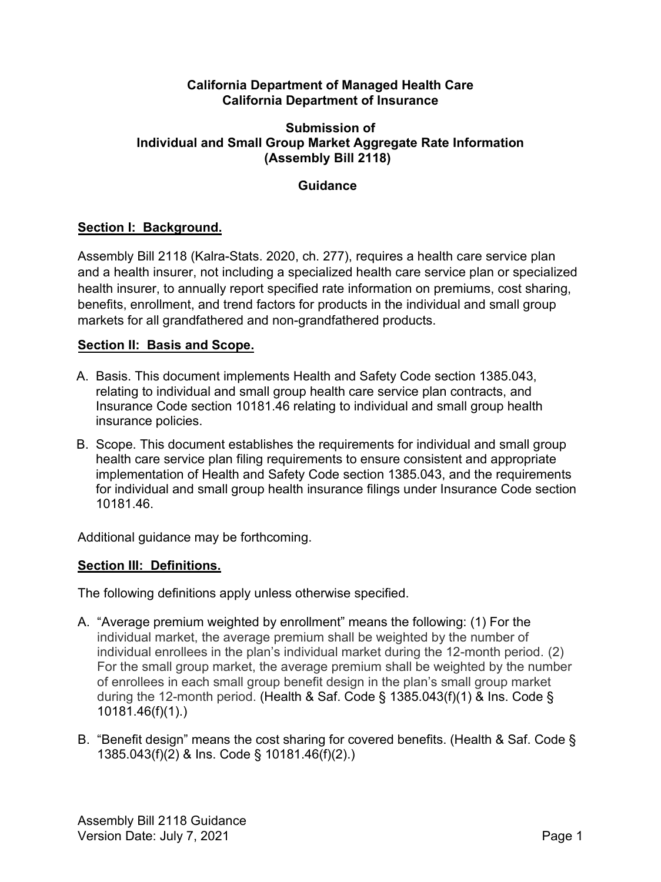### **California Department of Managed Health Care California Department of Insurance**

### **Submission of Individual and Small Group Market Aggregate Rate Information (Assembly Bill 2118)**

### **Guidance**

# **Section I: Background.**

Assembly Bill 2118 (Kalra-Stats. 2020, ch. 277), requires a health care service plan and a health insurer, not including a specialized health care service plan or specialized health insurer, to annually report specified rate information on premiums, cost sharing, benefits, enrollment, and trend factors for products in the individual and small group markets for all grandfathered and non-grandfathered products.

# **Section II: Basis and Scope.**

- A. Basis. This document implements Health and Safety Code section 1385.043, relating to individual and small group health care service plan contracts, and Insurance Code section 10181.46 relating to individual and small group health insurance policies.
- B. Scope. This document establishes the requirements for individual and small group health care service plan filing requirements to ensure consistent and appropriate implementation of Health and Safety Code section 1385.043, and the requirements for individual and small group health insurance filings under Insurance Code section 10181.46.

Additional guidance may be forthcoming.

# **Section III: Definitions.**

The following definitions apply unless otherwise specified.

- A. "Average premium weighted by enrollment" means the following: (1) For the individual market, the average premium shall be weighted by the number of individual enrollees in the plan's individual market during the 12-month period. (2) For the small group market, the average premium shall be weighted by the number of enrollees in each small group benefit design in the plan's small group market during the 12-month period. (Health & Saf. Code § 1385.043(f)(1) & Ins. Code § 10181.46(f)(1).)
- B. "Benefit design" means the cost sharing for covered benefits. (Health & Saf. Code § 1385.043(f)(2) & Ins. Code § 10181.46(f)(2).)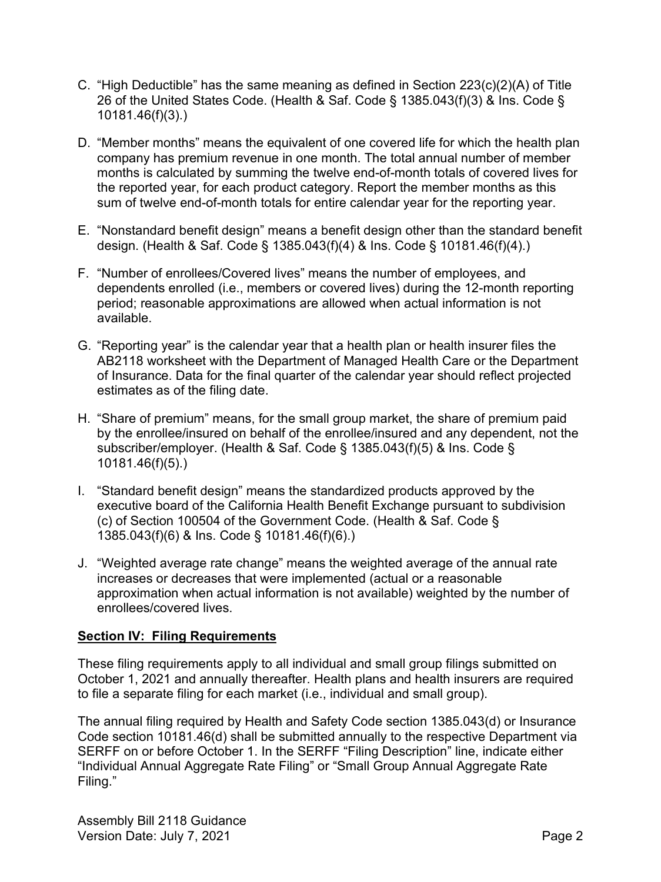- C. "High Deductible" has the same meaning as defined in Section 223(c)(2)(A) of Title 26 of the United States Code. (Health & Saf. Code § 1385.043(f)(3) & Ins. Code § 10181.46(f)(3).)
- D. "Member months" means the equivalent of one covered life for which the health plan company has premium revenue in one month. The total annual number of member months is calculated by summing the twelve end-of-month totals of covered lives for the reported year, for each product category. Report the member months as this sum of twelve end-of-month totals for entire calendar year for the reporting year.
- E. "Nonstandard benefit design" means a benefit design other than the standard benefit design. (Health & Saf. Code § 1385.043(f)(4) & Ins. Code § 10181.46(f)(4).)
- F. "Number of enrollees/Covered lives" means the number of employees, and dependents enrolled (i.e., members or covered lives) during the 12-month reporting period; reasonable approximations are allowed when actual information is not available.
- G. "Reporting year" is the calendar year that a health plan or health insurer files the AB2118 worksheet with the Department of Managed Health Care or the Department of Insurance. Data for the final quarter of the calendar year should reflect projected estimates as of the filing date.
- H. "Share of premium" means, for the small group market, the share of premium paid by the enrollee/insured on behalf of the enrollee/insured and any dependent, not the subscriber/employer. (Health & Saf. Code § 1385.043(f)(5) & Ins. Code § 10181.46(f)(5).)
- I. "Standard benefit design" means the standardized products approved by the executive board of the California Health Benefit Exchange pursuant to subdivision (c) of Section 100504 of the Government Code. (Health & Saf. Code § 1385.043(f)(6) & Ins. Code § 10181.46(f)(6).)
- J. "Weighted average rate change" means the weighted average of the annual rate increases or decreases that were implemented (actual or a reasonable approximation when actual information is not available) weighted by the number of enrollees/covered lives.

# **Section IV: Filing Requirements**

These filing requirements apply to all individual and small group filings submitted on October 1, 2021 and annually thereafter. Health plans and health insurers are required to file a separate filing for each market (i.e., individual and small group).

The annual filing required by Health and Safety Code section 1385.043(d) or Insurance Code section 10181.46(d) shall be submitted annually to the respective Department via SERFF on or before October 1. In the SERFF "Filing Description" line, indicate either "Individual Annual Aggregate Rate Filing" or "Small Group Annual Aggregate Rate Filing."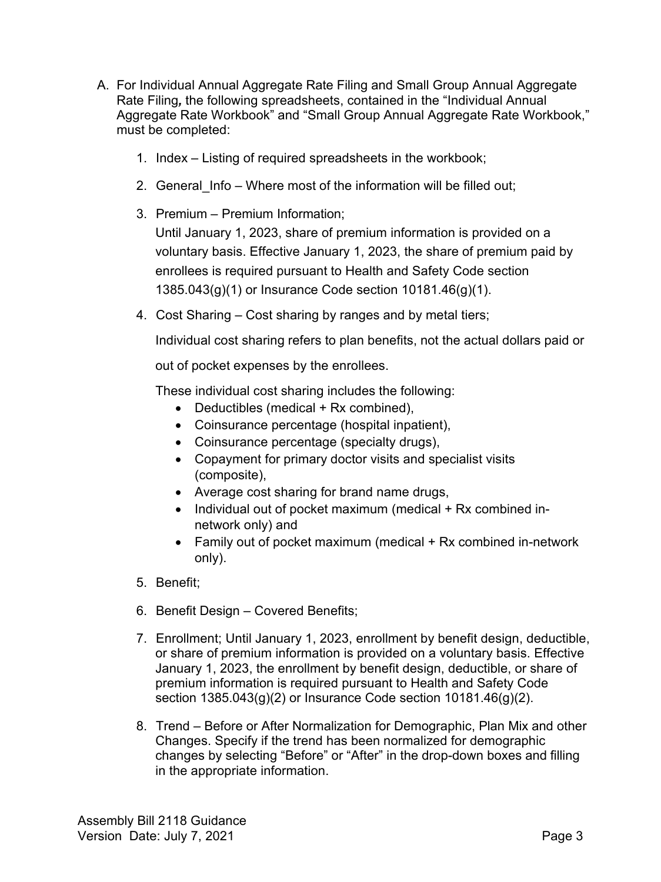- A. For Individual Annual Aggregate Rate Filing and Small Group Annual Aggregate Rate Filing*,* the following spreadsheets, contained in the "Individual Annual Aggregate Rate Workbook" and "Small Group Annual Aggregate Rate Workbook," must be completed:
	- 1. Index Listing of required spreadsheets in the workbook;
	- 2. General Info Where most of the information will be filled out;
	- 3. Premium Premium Information; Until January 1, 2023, share of premium information is provided on a voluntary basis. Effective January 1, 2023, the share of premium paid by enrollees is required pursuant to Health and Safety Code section 1385.043(g)(1) or Insurance Code section 10181.46(g)(1).
	- 4. Cost Sharing Cost sharing by ranges and by metal tiers;

Individual cost sharing refers to plan benefits, not the actual dollars paid or

out of pocket expenses by the enrollees.

These individual cost sharing includes the following:

- Deductibles (medical + Rx combined),
- Coinsurance percentage (hospital inpatient),
- Coinsurance percentage (specialty drugs),
- Copayment for primary doctor visits and specialist visits (composite),
- Average cost sharing for brand name drugs,
- Individual out of pocket maximum (medical + Rx combined innetwork only) and
- Family out of pocket maximum (medical + Rx combined in-network only).
- 5. Benefit;
- 6. Benefit Design Covered Benefits;
- 7. Enrollment; Until January 1, 2023, enrollment by benefit design, deductible, or share of premium information is provided on a voluntary basis. Effective January 1, 2023, the enrollment by benefit design, deductible, or share of premium information is required pursuant to Health and Safety Code section 1385.043(g)(2) or Insurance Code section 10181.46(g)(2).
- 8. Trend Before or After Normalization for Demographic, Plan Mix and other Changes. Specify if the trend has been normalized for demographic changes by selecting "Before" or "After" in the drop-down boxes and filling in the appropriate information.